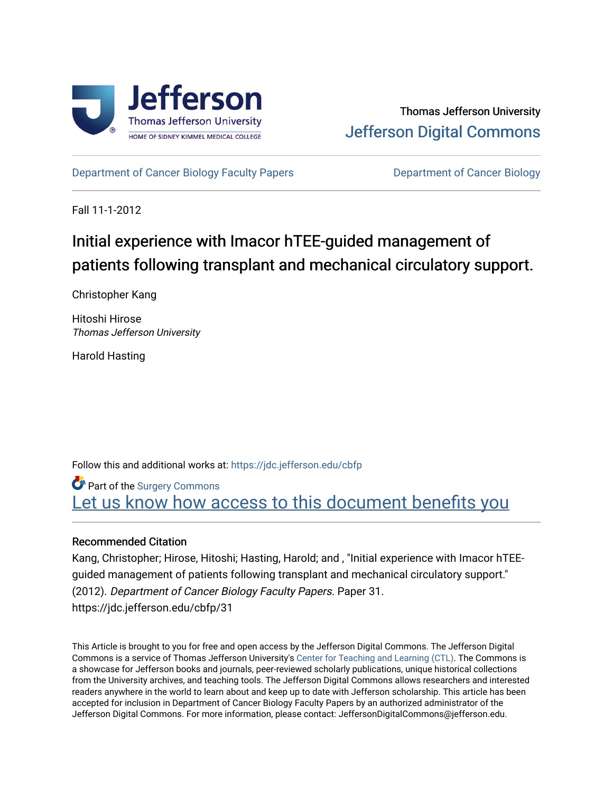

[Department of Cancer Biology Faculty Papers](https://jdc.jefferson.edu/cbfp) **Department of Cancer Biology** 

Fall 11-1-2012

## Initial experience with Imacor hTEE-guided management of patients following transplant and mechanical circulatory support.

Christopher Kang

Hitoshi Hirose Thomas Jefferson University

Harold Hasting

Follow this and additional works at: [https://jdc.jefferson.edu/cbfp](https://jdc.jefferson.edu/cbfp?utm_source=jdc.jefferson.edu%2Fcbfp%2F31&utm_medium=PDF&utm_campaign=PDFCoverPages) 

**Part of the Surgery Commons** Let us know how access to this document benefits you

#### Recommended Citation

Kang, Christopher; Hirose, Hitoshi; Hasting, Harold; and , "Initial experience with Imacor hTEEguided management of patients following transplant and mechanical circulatory support." (2012). Department of Cancer Biology Faculty Papers. Paper 31. https://jdc.jefferson.edu/cbfp/31

This Article is brought to you for free and open access by the Jefferson Digital Commons. The Jefferson Digital Commons is a service of Thomas Jefferson University's [Center for Teaching and Learning \(CTL\)](http://www.jefferson.edu/university/teaching-learning.html/). The Commons is a showcase for Jefferson books and journals, peer-reviewed scholarly publications, unique historical collections from the University archives, and teaching tools. The Jefferson Digital Commons allows researchers and interested readers anywhere in the world to learn about and keep up to date with Jefferson scholarship. This article has been accepted for inclusion in Department of Cancer Biology Faculty Papers by an authorized administrator of the Jefferson Digital Commons. For more information, please contact: JeffersonDigitalCommons@jefferson.edu.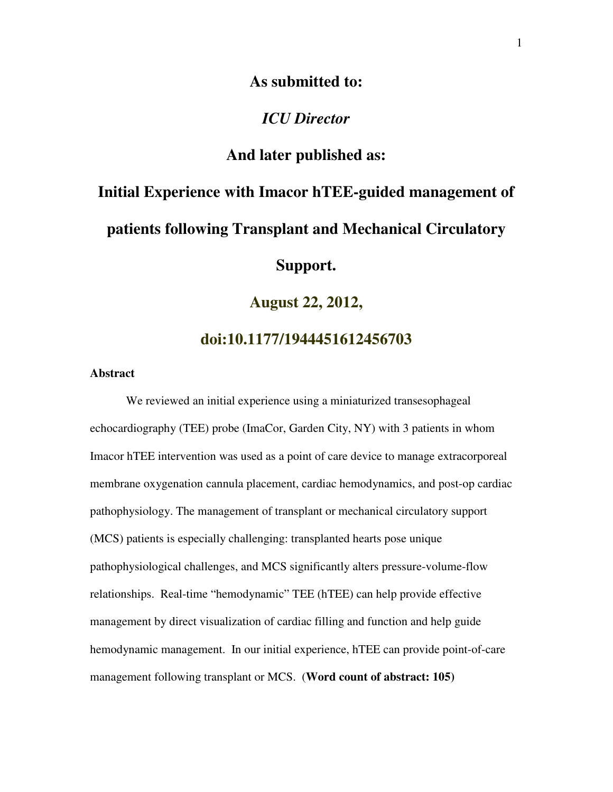## **As submitted to:**

### *ICU Director*

## **And later published as:**

# **Initial Experience with Imacor hTEE-guided management of patients following Transplant and Mechanical Circulatory Support.**

**August 22, 2012,** 

**doi:10.1177/1944451612456703**

#### **Abstract**

We reviewed an initial experience using a miniaturized transesophageal echocardiography (TEE) probe (ImaCor, Garden City, NY) with 3 patients in whom Imacor hTEE intervention was used as a point of care device to manage extracorporeal membrane oxygenation cannula placement, cardiac hemodynamics, and post-op cardiac pathophysiology. The management of transplant or mechanical circulatory support (MCS) patients is especially challenging: transplanted hearts pose unique pathophysiological challenges, and MCS significantly alters pressure-volume-flow relationships. Real-time "hemodynamic" TEE (hTEE) can help provide effective management by direct visualization of cardiac filling and function and help guide hemodynamic management. In our initial experience, hTEE can provide point-of-care management following transplant or MCS. (**Word count of abstract: 105)**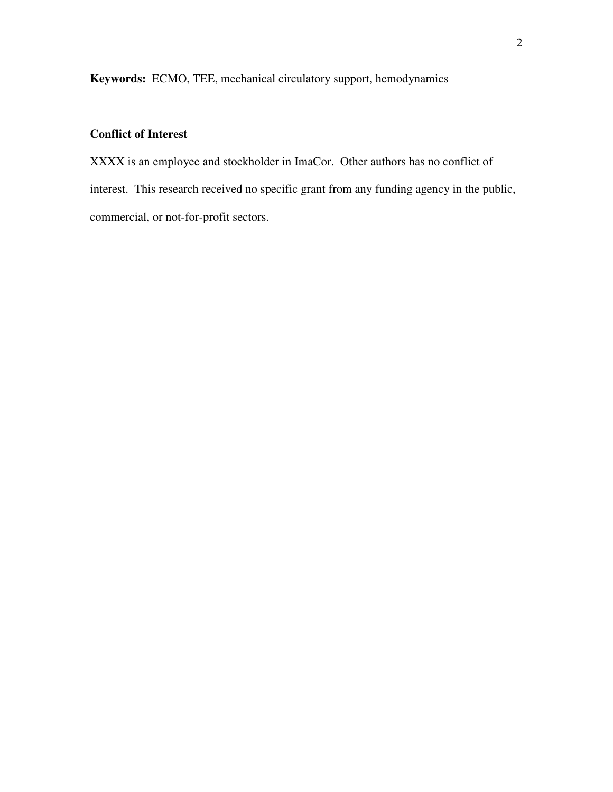**Keywords:** ECMO, TEE, mechanical circulatory support, hemodynamics

## **Conflict of Interest**

XXXX is an employee and stockholder in ImaCor. Other authors has no conflict of interest. This research received no specific grant from any funding agency in the public, commercial, or not-for-profit sectors.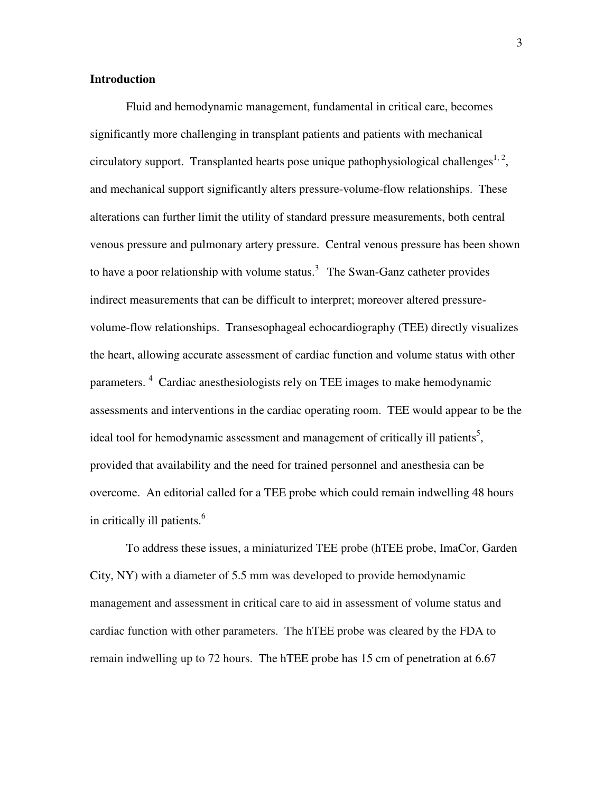#### **Introduction**

Fluid and hemodynamic management, fundamental in critical care, becomes significantly more challenging in transplant patients and patients with mechanical circulatory support. Transplanted hearts pose unique pathophysiological challenges $1, 2, 3$ and mechanical support significantly alters pressure-volume-flow relationships. These alterations can further limit the utility of standard pressure measurements, both central venous pressure and pulmonary artery pressure. Central venous pressure has been shown to have a poor relationship with volume status.<sup>3</sup> The Swan-Ganz catheter provides indirect measurements that can be difficult to interpret; moreover altered pressurevolume-flow relationships. Transesophageal echocardiography (TEE) directly visualizes the heart, allowing accurate assessment of cardiac function and volume status with other parameters.<sup>4</sup> Cardiac anesthesiologists rely on TEE images to make hemodynamic assessments and interventions in the cardiac operating room. TEE would appear to be the ideal tool for hemodynamic assessment and management of critically ill patients<sup>5</sup>, provided that availability and the need for trained personnel and anesthesia can be overcome. An editorial called for a TEE probe which could remain indwelling 48 hours in critically ill patients.<sup>6</sup>

To address these issues, a miniaturized TEE probe (hTEE probe, ImaCor, Garden City, NY) with a diameter of 5.5 mm was developed to provide hemodynamic management and assessment in critical care to aid in assessment of volume status and cardiac function with other parameters. The hTEE probe was cleared by the FDA to remain indwelling up to 72 hours. The hTEE probe has 15 cm of penetration at 6.67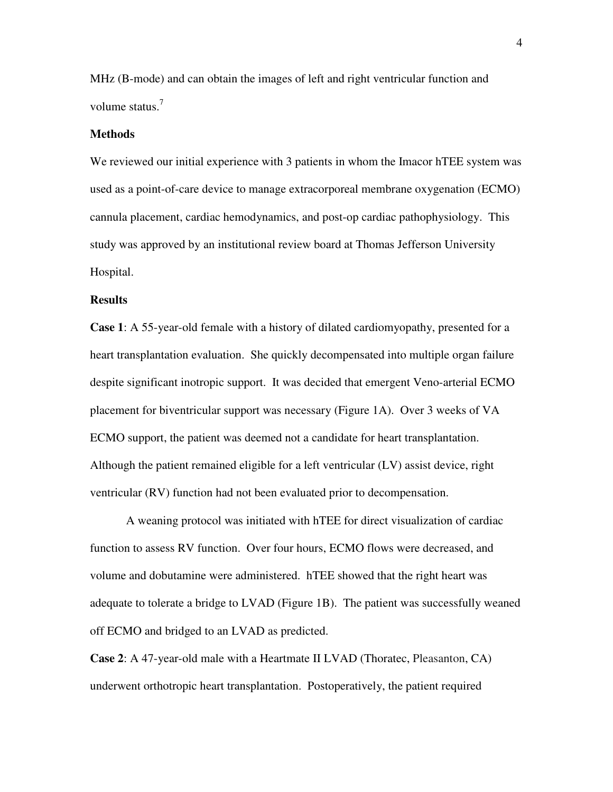MHz (B-mode) and can obtain the images of left and right ventricular function and volume status.<sup>7</sup>

#### **Methods**

We reviewed our initial experience with 3 patients in whom the Imacor hTEE system was used as a point-of-care device to manage extracorporeal membrane oxygenation (ECMO) cannula placement, cardiac hemodynamics, and post-op cardiac pathophysiology. This study was approved by an institutional review board at Thomas Jefferson University Hospital.

#### **Results**

**Case 1**: A 55-year-old female with a history of dilated cardiomyopathy, presented for a heart transplantation evaluation. She quickly decompensated into multiple organ failure despite significant inotropic support. It was decided that emergent Veno-arterial ECMO placement for biventricular support was necessary (Figure 1A). Over 3 weeks of VA ECMO support, the patient was deemed not a candidate for heart transplantation. Although the patient remained eligible for a left ventricular (LV) assist device, right ventricular (RV) function had not been evaluated prior to decompensation.

A weaning protocol was initiated with hTEE for direct visualization of cardiac function to assess RV function. Over four hours, ECMO flows were decreased, and volume and dobutamine were administered. hTEE showed that the right heart was adequate to tolerate a bridge to LVAD (Figure 1B). The patient was successfully weaned off ECMO and bridged to an LVAD as predicted.

**Case 2**: A 47-year-old male with a Heartmate II LVAD (Thoratec, Pleasanton, CA) underwent orthotropic heart transplantation. Postoperatively, the patient required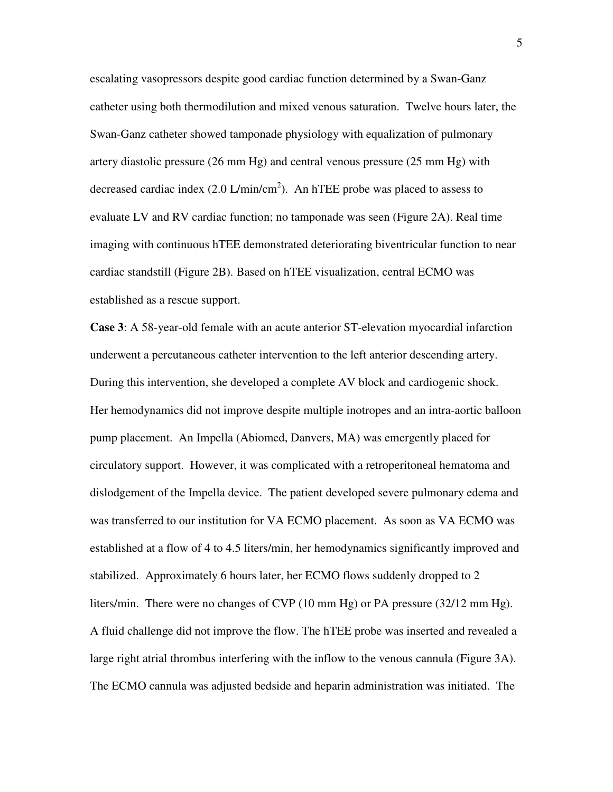escalating vasopressors despite good cardiac function determined by a Swan-Ganz catheter using both thermodilution and mixed venous saturation. Twelve hours later, the Swan-Ganz catheter showed tamponade physiology with equalization of pulmonary artery diastolic pressure (26 mm Hg) and central venous pressure (25 mm Hg) with decreased cardiac index  $(2.0 \text{ L/min/cm}^2)$ . An hTEE probe was placed to assess to evaluate LV and RV cardiac function; no tamponade was seen (Figure 2A). Real time imaging with continuous hTEE demonstrated deteriorating biventricular function to near cardiac standstill (Figure 2B). Based on hTEE visualization, central ECMO was established as a rescue support.

**Case 3**: A 58-year-old female with an acute anterior ST-elevation myocardial infarction underwent a percutaneous catheter intervention to the left anterior descending artery. During this intervention, she developed a complete AV block and cardiogenic shock. Her hemodynamics did not improve despite multiple inotropes and an intra-aortic balloon pump placement. An Impella (Abiomed, Danvers, MA) was emergently placed for circulatory support. However, it was complicated with a retroperitoneal hematoma and dislodgement of the Impella device. The patient developed severe pulmonary edema and was transferred to our institution for VA ECMO placement. As soon as VA ECMO was established at a flow of 4 to 4.5 liters/min, her hemodynamics significantly improved and stabilized. Approximately 6 hours later, her ECMO flows suddenly dropped to 2 liters/min. There were no changes of CVP (10 mm Hg) or PA pressure (32/12 mm Hg). A fluid challenge did not improve the flow. The hTEE probe was inserted and revealed a large right atrial thrombus interfering with the inflow to the venous cannula (Figure 3A). The ECMO cannula was adjusted bedside and heparin administration was initiated. The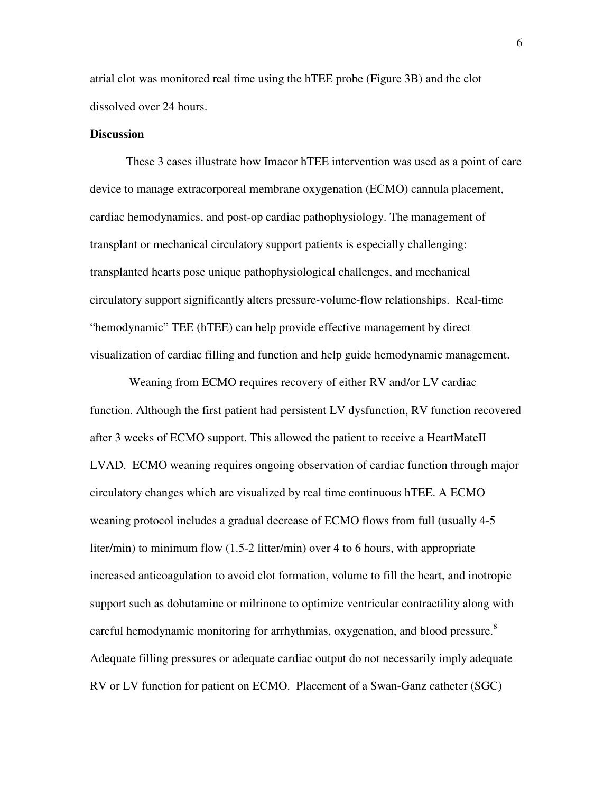atrial clot was monitored real time using the hTEE probe (Figure 3B) and the clot dissolved over 24 hours.

#### **Discussion**

These 3 cases illustrate how Imacor hTEE intervention was used as a point of care device to manage extracorporeal membrane oxygenation (ECMO) cannula placement, cardiac hemodynamics, and post-op cardiac pathophysiology. The management of transplant or mechanical circulatory support patients is especially challenging: transplanted hearts pose unique pathophysiological challenges, and mechanical circulatory support significantly alters pressure-volume-flow relationships. Real-time "hemodynamic" TEE (hTEE) can help provide effective management by direct visualization of cardiac filling and function and help guide hemodynamic management.

 Weaning from ECMO requires recovery of either RV and/or LV cardiac function. Although the first patient had persistent LV dysfunction, RV function recovered after 3 weeks of ECMO support. This allowed the patient to receive a HeartMateII LVAD. ECMO weaning requires ongoing observation of cardiac function through major circulatory changes which are visualized by real time continuous hTEE. A ECMO weaning protocol includes a gradual decrease of ECMO flows from full (usually 4-5 liter/min) to minimum flow (1.5-2 litter/min) over 4 to 6 hours, with appropriate increased anticoagulation to avoid clot formation, volume to fill the heart, and inotropic support such as dobutamine or milrinone to optimize ventricular contractility along with careful hemodynamic monitoring for arrhythmias, oxygenation, and blood pressure.<sup>8</sup> Adequate filling pressures or adequate cardiac output do not necessarily imply adequate RV or LV function for patient on ECMO. Placement of a Swan-Ganz catheter (SGC)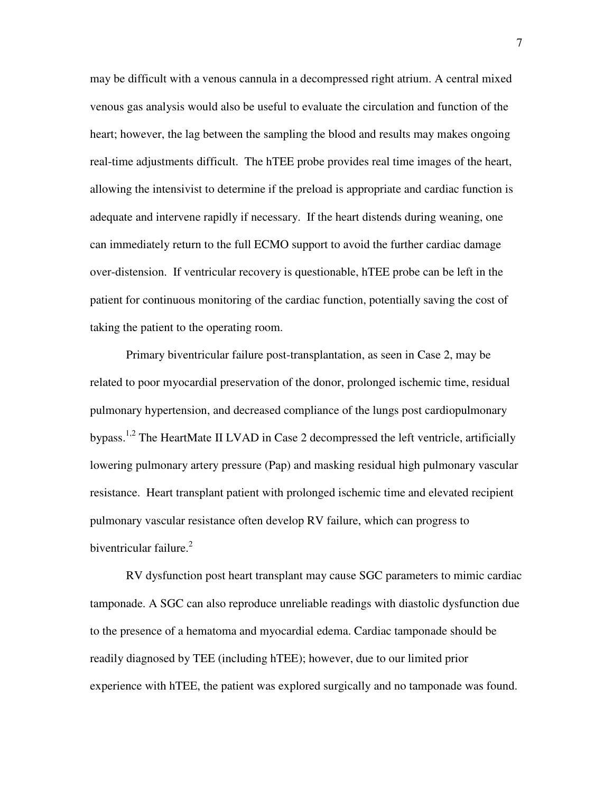may be difficult with a venous cannula in a decompressed right atrium. A central mixed venous gas analysis would also be useful to evaluate the circulation and function of the heart; however, the lag between the sampling the blood and results may makes ongoing real-time adjustments difficult. The hTEE probe provides real time images of the heart, allowing the intensivist to determine if the preload is appropriate and cardiac function is adequate and intervene rapidly if necessary. If the heart distends during weaning, one can immediately return to the full ECMO support to avoid the further cardiac damage over-distension. If ventricular recovery is questionable, hTEE probe can be left in the patient for continuous monitoring of the cardiac function, potentially saving the cost of taking the patient to the operating room.

Primary biventricular failure post-transplantation, as seen in Case 2, may be related to poor myocardial preservation of the donor, prolonged ischemic time, residual pulmonary hypertension, and decreased compliance of the lungs post cardiopulmonary bypass.<sup>1,2</sup> The HeartMate II LVAD in Case 2 decompressed the left ventricle, artificially lowering pulmonary artery pressure (Pap) and masking residual high pulmonary vascular resistance. Heart transplant patient with prolonged ischemic time and elevated recipient pulmonary vascular resistance often develop RV failure, which can progress to biventricular failure. $2<sup>2</sup>$ 

RV dysfunction post heart transplant may cause SGC parameters to mimic cardiac tamponade. A SGC can also reproduce unreliable readings with diastolic dysfunction due to the presence of a hematoma and myocardial edema. Cardiac tamponade should be readily diagnosed by TEE (including hTEE); however, due to our limited prior experience with hTEE, the patient was explored surgically and no tamponade was found.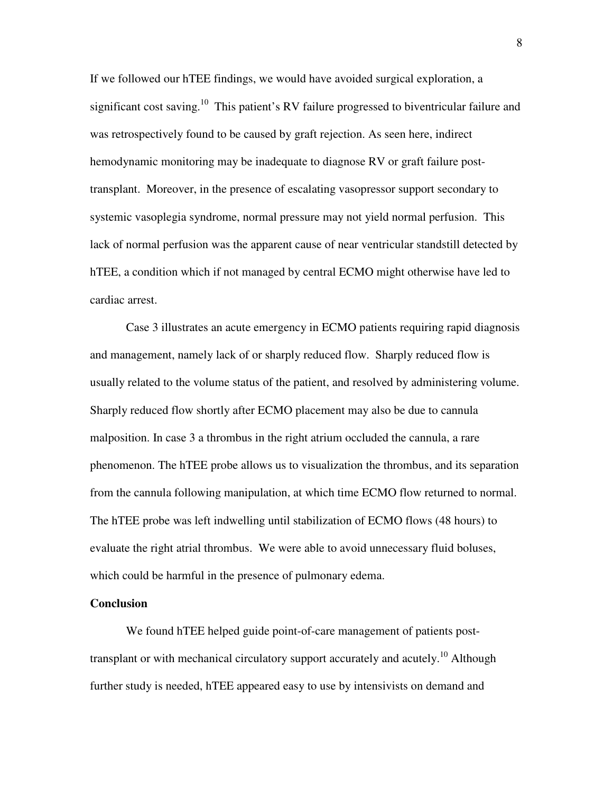If we followed our hTEE findings, we would have avoided surgical exploration, a significant cost saving.<sup>10</sup> This patient's RV failure progressed to biventricular failure and was retrospectively found to be caused by graft rejection. As seen here, indirect hemodynamic monitoring may be inadequate to diagnose RV or graft failure posttransplant. Moreover, in the presence of escalating vasopressor support secondary to systemic vasoplegia syndrome, normal pressure may not yield normal perfusion. This lack of normal perfusion was the apparent cause of near ventricular standstill detected by hTEE, a condition which if not managed by central ECMO might otherwise have led to cardiac arrest.

Case 3 illustrates an acute emergency in ECMO patients requiring rapid diagnosis and management, namely lack of or sharply reduced flow. Sharply reduced flow is usually related to the volume status of the patient, and resolved by administering volume. Sharply reduced flow shortly after ECMO placement may also be due to cannula malposition. In case 3 a thrombus in the right atrium occluded the cannula, a rare phenomenon. The hTEE probe allows us to visualization the thrombus, and its separation from the cannula following manipulation, at which time ECMO flow returned to normal. The hTEE probe was left indwelling until stabilization of ECMO flows (48 hours) to evaluate the right atrial thrombus. We were able to avoid unnecessary fluid boluses, which could be harmful in the presence of pulmonary edema.

#### **Conclusion**

We found hTEE helped guide point-of-care management of patients posttransplant or with mechanical circulatory support accurately and acutely.<sup>10</sup> Although further study is needed, hTEE appeared easy to use by intensivists on demand and

8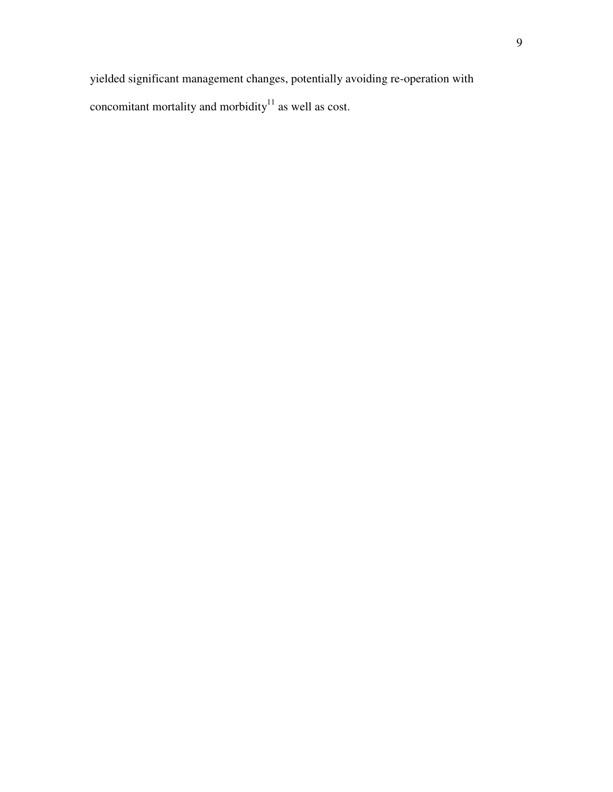yielded significant management changes, potentially avoiding re-operation with concomitant mortality and morbidity as well as cost.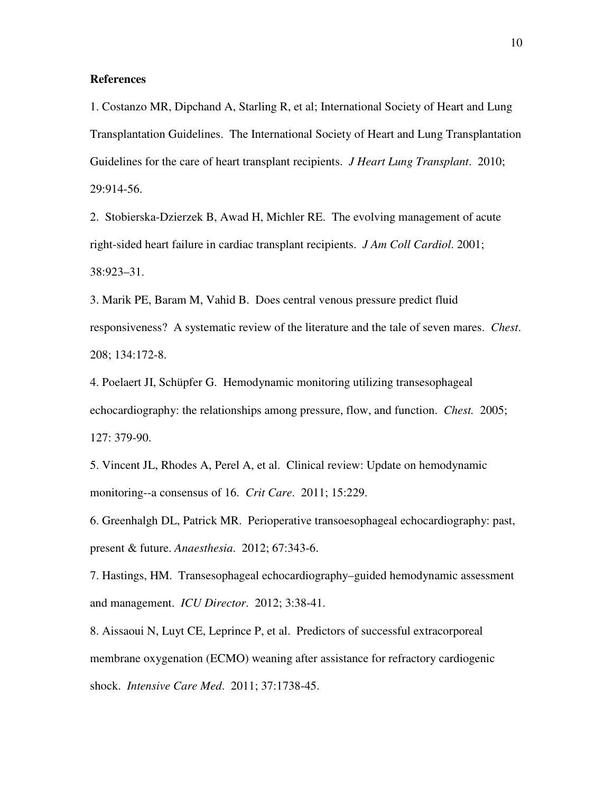#### **References**

1. Costanzo MR, Dipchand A, Starling R, et al; International Society of Heart and Lung Transplantation Guidelines. The International Society of Heart and Lung Transplantation Guidelines for the care of heart transplant recipients. *J Heart Lung Transplant*. 2010; 29:914-56.

2. Stobierska-Dzierzek B, Awad H, Michler RE. The evolving management of acute right-sided heart failure in cardiac transplant recipients. *J Am Coll Cardiol*. 2001; 38:923–31.

3. Marik PE, Baram M, Vahid B. Does central venous pressure predict fluid responsiveness? A systematic review of the literature and the tale of seven mares. *Chest*. 208; 134:172-8.

4. Poelaert JI, Schüpfer G. Hemodynamic monitoring utilizing transesophageal echocardiography: the relationships among pressure, flow, and function. *Chest.* 2005; 127: 379-90.

5. Vincent JL, Rhodes A, Perel A, et al. Clinical review: Update on hemodynamic monitoring--a consensus of 16. *Crit Care*. 2011; 15:229.

6. Greenhalgh DL, Patrick MR. Perioperative transoesophageal echocardiography: past, present & future. *Anaesthesia*. 2012; 67:343-6.

7. Hastings, HM. Transesophageal echocardiography–guided hemodynamic assessment and management. *ICU Director*. 2012; 3:38-41.

8. Aissaoui N, Luyt CE, Leprince P, et al. Predictors of successful extracorporeal membrane oxygenation (ECMO) weaning after assistance for refractory cardiogenic shock. *Intensive Care Med*. 2011; 37:1738-45.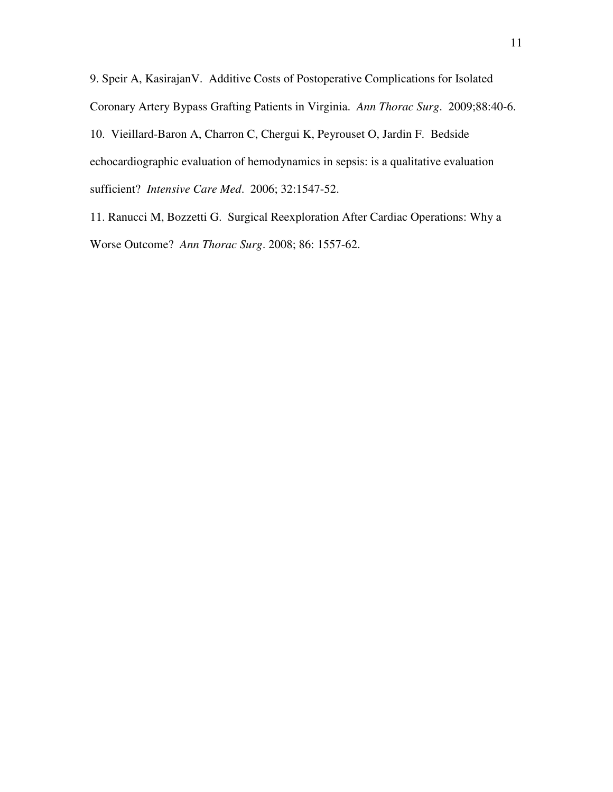9. Speir A, KasirajanV. Additive Costs of Postoperative Complications for Isolated Coronary Artery Bypass Grafting Patients in Virginia. *Ann Thorac Surg*. 2009;88:40-6. 10. Vieillard-Baron A, Charron C, Chergui K, Peyrouset O, Jardin F. Bedside echocardiographic evaluation of hemodynamics in sepsis: is a qualitative evaluation sufficient? *Intensive Care Med*. 2006; 32:1547-52.

11. Ranucci M, Bozzetti G. Surgical Reexploration After Cardiac Operations: Why a Worse Outcome? *Ann Thorac Surg*. 2008; 86: 1557-62.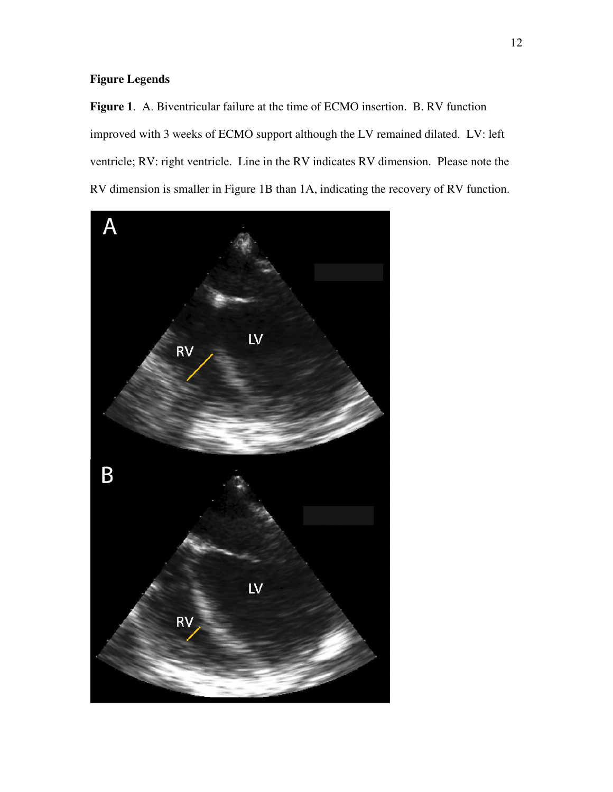## **Figure Legends**

**Figure 1**. A. Biventricular failure at the time of ECMO insertion. B. RV function improved with 3 weeks of ECMO support although the LV remained dilated. LV: left ventricle; RV: right ventricle. Line in the RV indicates RV dimension. Please note the RV dimension is smaller in Figure 1B than 1A, indicating the recovery of RV function.

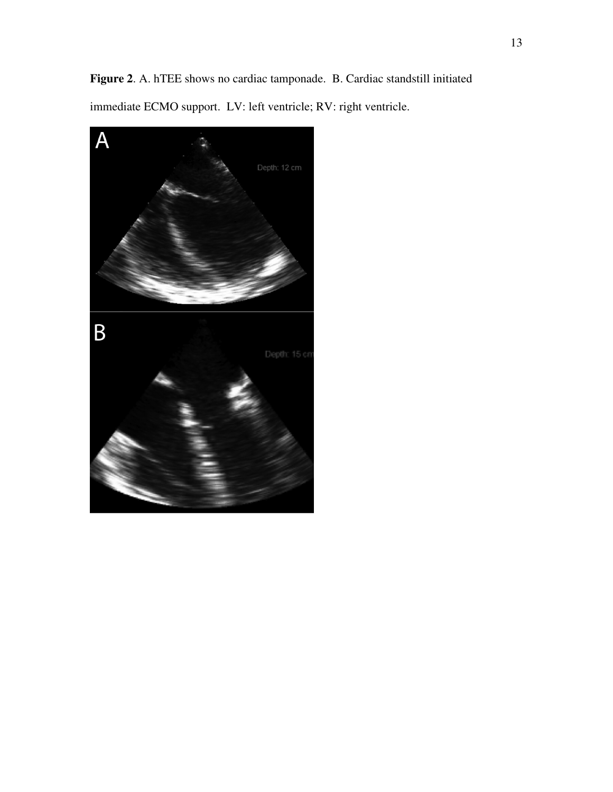